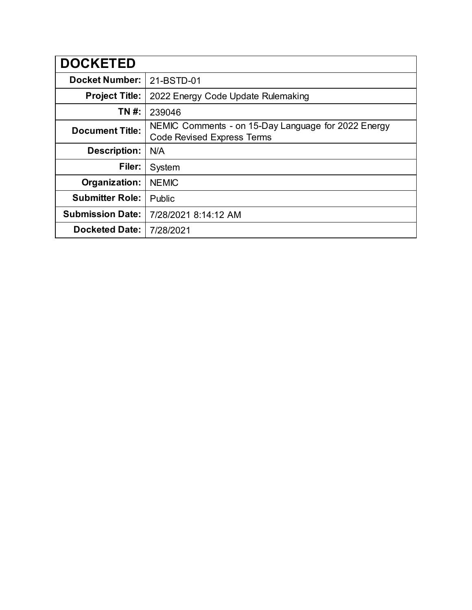| <b>DOCKETED</b>         |                                                                                          |
|-------------------------|------------------------------------------------------------------------------------------|
| <b>Docket Number:</b>   | 21-BSTD-01                                                                               |
| <b>Project Title:</b>   | 2022 Energy Code Update Rulemaking                                                       |
| TN #:                   | 239046                                                                                   |
| <b>Document Title:</b>  | NEMIC Comments - on 15-Day Language for 2022 Energy<br><b>Code Revised Express Terms</b> |
| <b>Description:</b>     | N/A                                                                                      |
| Filer:                  | System                                                                                   |
| Organization:           | <b>NEMIC</b>                                                                             |
| <b>Submitter Role:</b>  | Public                                                                                   |
| <b>Submission Date:</b> | 7/28/2021 8:14:12 AM                                                                     |
| <b>Docketed Date:</b>   | 7/28/2021                                                                                |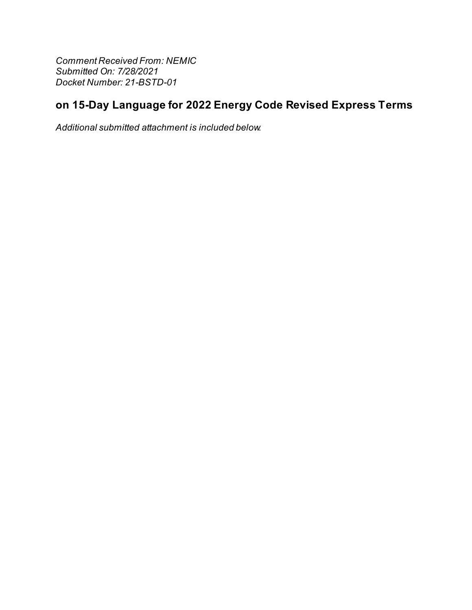**Comment Received From: NEMIC** Submitted On: 7/28/2021 Docket Number: 21-BSTD-01

## on 15-Day Language for 2022 Energy Code Revised Express Terms

Additional submitted attachment is included below.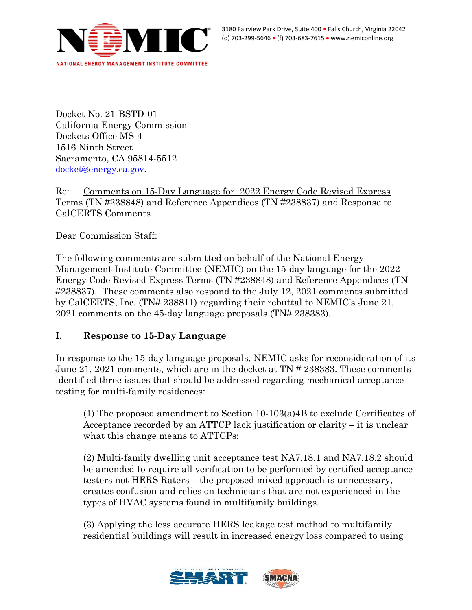

Docket No. 21-BSTD-01 California Energy Commission Dockets Office MS-4 1516 Ninth Street Sacramento, CA 95814-5512 docket@energy.ca.gov.

Re: Comments on 15-Day Language for 2022 Energy Code Revised Express Terms (TN #238848) and Reference Appendices (TN #238837) and Response to CalCERTS Comments

Dear Commission Staff:

The following comments are submitted on behalf of the National Energy Management Institute Committee (NEMIC) on the 15-day language for the 2022 Energy Code Revised Express Terms (TN #238848) and Reference Appendices (TN #238837). These comments also respond to the July 12, 2021 comments submitted by CalCERTS, Inc. (TN# 238811) regarding their rebuttal to NEMIC's June 21, 2021 comments on the 45-day language proposals (TN# 238383).

## **I. Response to 15-Day Language**

In response to the 15-day language proposals, NEMIC asks for reconsideration of its June 21, 2021 comments, which are in the docket at TN # 238383. These comments identified three issues that should be addressed regarding mechanical acceptance testing for multi-family residences:

(1) The proposed amendment to Section 10-103(a)4B to exclude Certificates of Acceptance recorded by an ATTCP lack justification or clarity – it is unclear what this change means to ATTCPs;

(2) Multi-family dwelling unit acceptance test NA7.18.1 and NA7.18.2 should be amended to require all verification to be performed by certified acceptance testers not HERS Raters – the proposed mixed approach is unnecessary, creates confusion and relies on technicians that are not experienced in the types of HVAC systems found in multifamily buildings.

(3) Applying the less accurate HERS leakage test method to multifamily residential buildings will result in increased energy loss compared to using

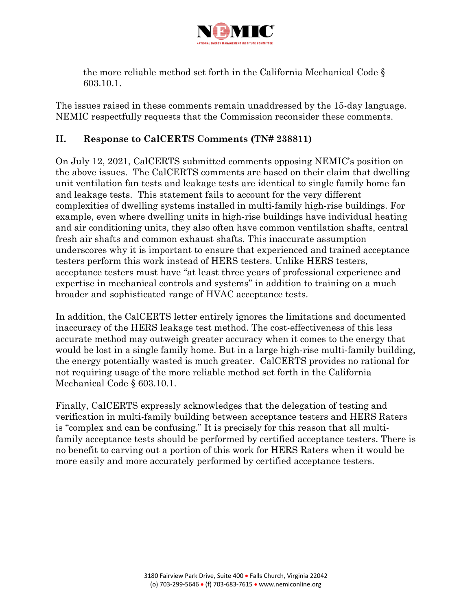

the more reliable method set forth in the California Mechanical Code § 603.10.1.

The issues raised in these comments remain unaddressed by the 15-day language. NEMIC respectfully requests that the Commission reconsider these comments.

## **II. Response to CalCERTS Comments (TN# 238811)**

On July 12, 2021, CalCERTS submitted comments opposing NEMIC's position on the above issues. The CalCERTS comments are based on their claim that dwelling unit ventilation fan tests and leakage tests are identical to single family home fan and leakage tests. This statement fails to account for the very different complexities of dwelling systems installed in multi-family high-rise buildings. For example, even where dwelling units in high-rise buildings have individual heating and air conditioning units, they also often have common ventilation shafts, central fresh air shafts and common exhaust shafts. This inaccurate assumption underscores why it is important to ensure that experienced and trained acceptance testers perform this work instead of HERS testers. Unlike HERS testers, acceptance testers must have "at least three years of professional experience and expertise in mechanical controls and systems" in addition to training on a much broader and sophisticated range of HVAC acceptance tests.

In addition, the CalCERTS letter entirely ignores the limitations and documented inaccuracy of the HERS leakage test method. The cost-effectiveness of this less accurate method may outweigh greater accuracy when it comes to the energy that would be lost in a single family home. But in a large high-rise multi-family building, the energy potentially wasted is much greater. CalCERTS provides no rational for not requiring usage of the more reliable method set forth in the California Mechanical Code § 603.10.1.

Finally, CalCERTS expressly acknowledges that the delegation of testing and verification in multi-family building between acceptance testers and HERS Raters is "complex and can be confusing." It is precisely for this reason that all multifamily acceptance tests should be performed by certified acceptance testers. There is no benefit to carving out a portion of this work for HERS Raters when it would be more easily and more accurately performed by certified acceptance testers.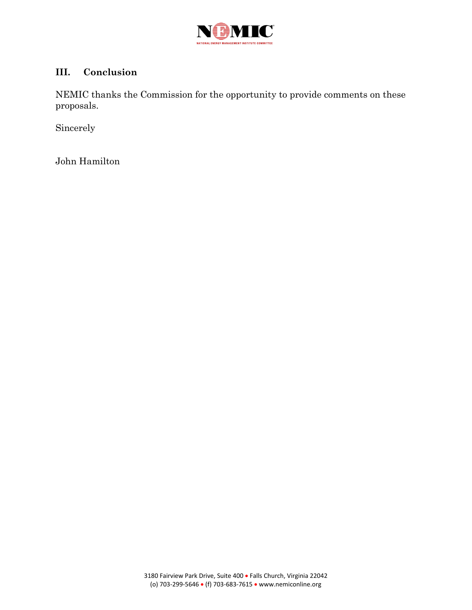

## **III. Conclusion**

NEMIC thanks the Commission for the opportunity to provide comments on these proposals.

Sincerely

John Hamilton